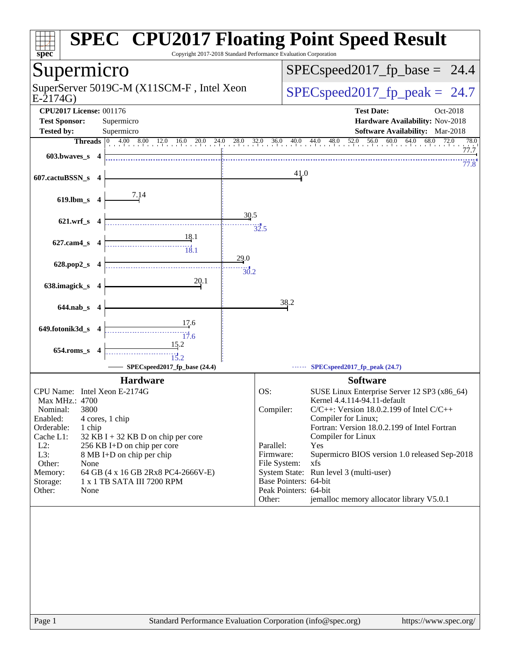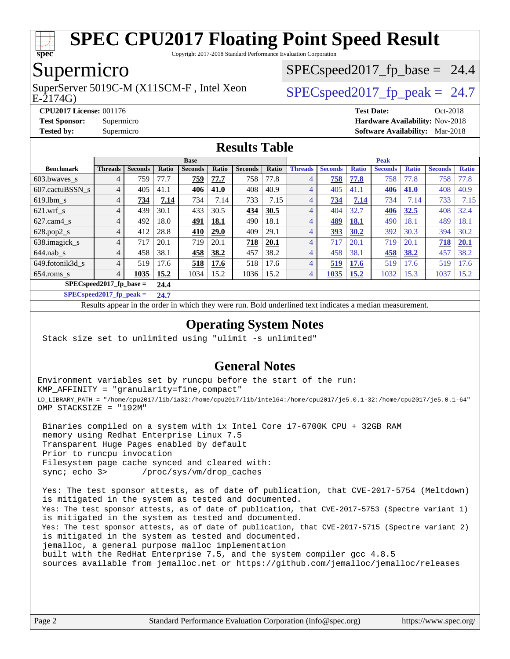

Copyright 2017-2018 Standard Performance Evaluation Corporation

### Supermicro

SuperServer 5019C-M (X11SCM-F, Intel Xeon<br>E-2174G)

 $SPECspeed2017<sub>fp</sub> base = 24.4$ 

 $SPECspeed2017_fp\_peak = 24.7$ 

**[CPU2017 License:](http://www.spec.org/auto/cpu2017/Docs/result-fields.html#CPU2017License)** 001176 **[Test Date:](http://www.spec.org/auto/cpu2017/Docs/result-fields.html#TestDate)** Oct-2018 **[Test Sponsor:](http://www.spec.org/auto/cpu2017/Docs/result-fields.html#TestSponsor)** Supermicro **[Hardware Availability:](http://www.spec.org/auto/cpu2017/Docs/result-fields.html#HardwareAvailability)** Nov-2018 **[Tested by:](http://www.spec.org/auto/cpu2017/Docs/result-fields.html#Testedby)** Supermicro **[Software Availability:](http://www.spec.org/auto/cpu2017/Docs/result-fields.html#SoftwareAvailability)** Mar-2018

#### **[Results Table](http://www.spec.org/auto/cpu2017/Docs/result-fields.html#ResultsTable)**

|                            | <b>Base</b> |                |              |                |       |                |       |                | <b>Peak</b>    |              |                |              |                |              |  |
|----------------------------|-------------|----------------|--------------|----------------|-------|----------------|-------|----------------|----------------|--------------|----------------|--------------|----------------|--------------|--|
| <b>Benchmark</b>           | Threads     | <b>Seconds</b> | <b>Ratio</b> | <b>Seconds</b> | Ratio | <b>Seconds</b> | Ratio | <b>Threads</b> | <b>Seconds</b> | <b>Ratio</b> | <b>Seconds</b> | <b>Ratio</b> | <b>Seconds</b> | <b>Ratio</b> |  |
| $603.bwaves$ s             | 4           | 759            | 77.7         | <u>759</u>     | 77.7  | 758            | 77.8  | 4              | 758            | 77.8         | 758            | 77.8         | 758            | 77.8         |  |
| 607.cactuBSSN s            | 4           | 405            | 41.1         | 406            | 41.0  | 408            | 40.9  | 4              | 405            | 41.1         | 406            | 41.0         | 408            | 40.9         |  |
| $619.1$ bm s               | 4           | 734            | 7.14         | 734            | 7.14  | 733            | 7.15  | 4              | 734            | 7.14         | 734            | 7.14         | 733            | 7.15         |  |
| $621$ wrf s                | 4           | 439            | 30.1         | 433            | 30.5  | 434            | 30.5  | $\overline{4}$ | 404            | 32.7         | 406            | 32.5         | 408            | 32.4         |  |
| $627$ .cam4 s              | 4           | 492            | 18.0         | 491            | 18.1  | 490            | 18.1  | $\overline{4}$ | 489            | 18.1         | 490            | 18.1         | 489            | 18.1         |  |
| $628.pop2_s$               | 4           | 412            | 28.8         | 410            | 29.0  | 409            | 29.1  | 4              | 393            | 30.2         | 392            | 30.3         | 394            | 30.2         |  |
| 638.imagick_s              | 4           | 717            | 20.1         | 719            | 20.1  | 718            | 20.1  | 4              | 717            | 20.1         | 719            | 20.1         | 718            | 20.1         |  |
| $644$ .nab s               | 4           | 458            | 38.1         | 458            | 38.2  | 457            | 38.2  | 4              | 458            | 38.1         | 458            | 38.2         | 457            | 38.2         |  |
| 649.fotonik3d s            | 4           | 519            | 17.6         | 518            | 17.6  | 518            | 17.6  | 4              | 519            | 17.6         | 519            | 17.6         | 519            | 17.6         |  |
| $654$ .roms s              | 4           | 1035           | 15.2         | 1034           | 15.2  | 1036           | 15.2  | 4              | 1035           | 15.2         | 1032           | 15.3         | 1037           | 15.2         |  |
| $SPEC speed2017$ fp base = | 24.4        |                |              |                |       |                |       |                |                |              |                |              |                |              |  |

**[SPECspeed2017\\_fp\\_peak =](http://www.spec.org/auto/cpu2017/Docs/result-fields.html#SPECspeed2017fppeak) 24.7**

Results appear in the [order in which they were run.](http://www.spec.org/auto/cpu2017/Docs/result-fields.html#RunOrder) Bold underlined text [indicates a median measurement](http://www.spec.org/auto/cpu2017/Docs/result-fields.html#Median).

#### **[Operating System Notes](http://www.spec.org/auto/cpu2017/Docs/result-fields.html#OperatingSystemNotes)**

Stack size set to unlimited using "ulimit -s unlimited"

#### **[General Notes](http://www.spec.org/auto/cpu2017/Docs/result-fields.html#GeneralNotes)**

Environment variables set by runcpu before the start of the run: KMP\_AFFINITY = "granularity=fine,compact" LD\_LIBRARY\_PATH = "/home/cpu2017/lib/ia32:/home/cpu2017/lib/intel64:/home/cpu2017/je5.0.1-32:/home/cpu2017/je5.0.1-64" OMP\_STACKSIZE = "192M"

 Binaries compiled on a system with 1x Intel Core i7-6700K CPU + 32GB RAM memory using Redhat Enterprise Linux 7.5 Transparent Huge Pages enabled by default Prior to runcpu invocation Filesystem page cache synced and cleared with: sync; echo 3> /proc/sys/vm/drop\_caches

 Yes: The test sponsor attests, as of date of publication, that CVE-2017-5754 (Meltdown) is mitigated in the system as tested and documented. Yes: The test sponsor attests, as of date of publication, that CVE-2017-5753 (Spectre variant 1) is mitigated in the system as tested and documented. Yes: The test sponsor attests, as of date of publication, that CVE-2017-5715 (Spectre variant 2) is mitigated in the system as tested and documented. jemalloc, a general purpose malloc implementation built with the RedHat Enterprise 7.5, and the system compiler gcc 4.8.5 sources available from jemalloc.net or <https://github.com/jemalloc/jemalloc/releases>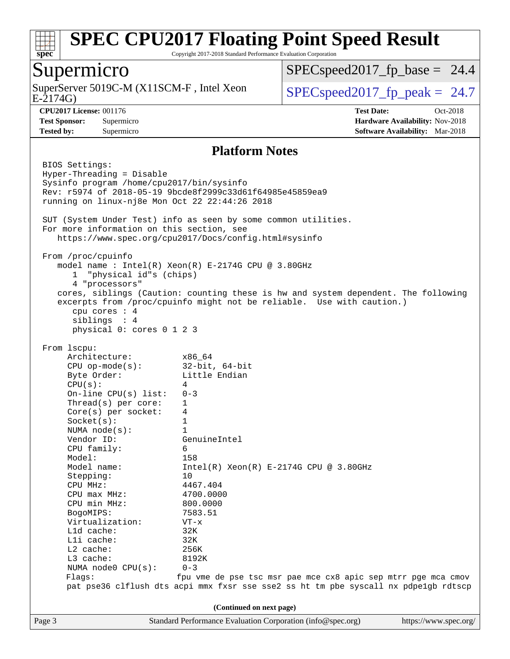

Copyright 2017-2018 Standard Performance Evaluation Corporation

#### Supermicro

E-2174G) SuperServer 5019C-M (X11SCM-F, Intel Xeon  $\big|$  [SPECspeed2017\\_fp\\_peak =](http://www.spec.org/auto/cpu2017/Docs/result-fields.html#SPECspeed2017fppeak) 24.7

 $SPECspeed2017<sub>fp</sub> base = 24.4$ 

**[Tested by:](http://www.spec.org/auto/cpu2017/Docs/result-fields.html#Testedby)** Supermicro **[Software Availability:](http://www.spec.org/auto/cpu2017/Docs/result-fields.html#SoftwareAvailability)** Mar-2018

**[CPU2017 License:](http://www.spec.org/auto/cpu2017/Docs/result-fields.html#CPU2017License)** 001176 **[Test Date:](http://www.spec.org/auto/cpu2017/Docs/result-fields.html#TestDate)** Oct-2018 **[Test Sponsor:](http://www.spec.org/auto/cpu2017/Docs/result-fields.html#TestSponsor)** Supermicro **[Hardware Availability:](http://www.spec.org/auto/cpu2017/Docs/result-fields.html#HardwareAvailability)** Nov-2018

#### **[Platform Notes](http://www.spec.org/auto/cpu2017/Docs/result-fields.html#PlatformNotes)**

Page 3 Standard Performance Evaluation Corporation [\(info@spec.org\)](mailto:info@spec.org) <https://www.spec.org/> BIOS Settings: Hyper-Threading = Disable Sysinfo program /home/cpu2017/bin/sysinfo Rev: r5974 of 2018-05-19 9bcde8f2999c33d61f64985e45859ea9 running on linux-nj8e Mon Oct 22 22:44:26 2018 SUT (System Under Test) info as seen by some common utilities. For more information on this section, see <https://www.spec.org/cpu2017/Docs/config.html#sysinfo> From /proc/cpuinfo model name : Intel(R) Xeon(R) E-2174G CPU @ 3.80GHz 1 "physical id"s (chips) 4 "processors" cores, siblings (Caution: counting these is hw and system dependent. The following excerpts from /proc/cpuinfo might not be reliable. Use with caution.) cpu cores : 4 siblings : 4 physical 0: cores 0 1 2 3 From lscpu: Architecture: x86\_64 CPU op-mode(s): 32-bit, 64-bit Byte Order: Little Endian  $CPU(s):$  4 On-line CPU(s) list: 0-3 Thread(s) per core: 1 Core(s) per socket: 4 Socket(s): 1 NUMA node(s): 1 Vendor ID: GenuineIntel CPU family: 6 Model: 158 Model name:  $Intel(R)$  Xeon(R) E-2174G CPU @ 3.80GHz Stepping: 10 CPU MHz: 4467.404 CPU max MHz: 4700.0000 CPU min MHz: 800.0000 BogoMIPS: 7583.51 Virtualization: VT-x L1d cache: 32K L1i cache: 32K L2 cache: 256K L3 cache: 8192K NUMA node0 CPU(s): 0-3 Flags: fpu vme de pse tsc msr pae mce cx8 apic sep mtrr pge mca cmov pat pse36 clflush dts acpi mmx fxsr sse sse2 ss ht tm pbe syscall nx pdpe1gb rdtscp **(Continued on next page)**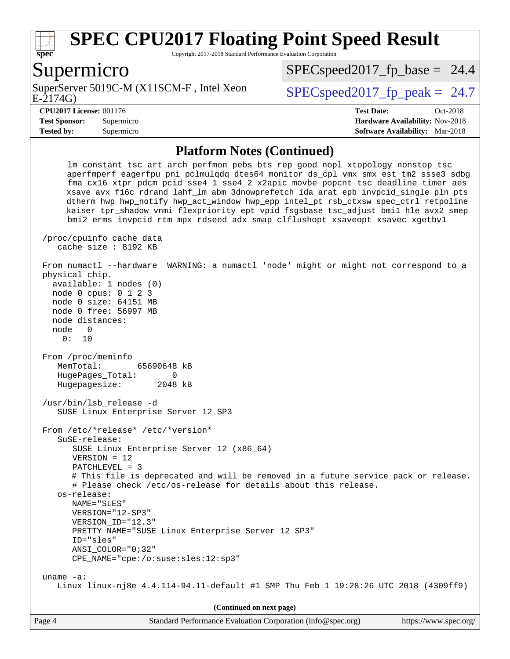

Copyright 2017-2018 Standard Performance Evaluation Corporation

#### Supermicro

E-2174G) SuperServer 5019C-M (X11SCM-F, Intel Xeon  $SPEC speed2017$  fp\_peak = 24.7

 $SPECspeed2017<sub>fp</sub> base = 24.4$ 

**[CPU2017 License:](http://www.spec.org/auto/cpu2017/Docs/result-fields.html#CPU2017License)** 001176 **[Test Date:](http://www.spec.org/auto/cpu2017/Docs/result-fields.html#TestDate)** Oct-2018 **[Test Sponsor:](http://www.spec.org/auto/cpu2017/Docs/result-fields.html#TestSponsor)** Supermicro **[Hardware Availability:](http://www.spec.org/auto/cpu2017/Docs/result-fields.html#HardwareAvailability)** Nov-2018 **[Tested by:](http://www.spec.org/auto/cpu2017/Docs/result-fields.html#Testedby)** Supermicro **[Software Availability:](http://www.spec.org/auto/cpu2017/Docs/result-fields.html#SoftwareAvailability)** Mar-2018

#### **[Platform Notes \(Continued\)](http://www.spec.org/auto/cpu2017/Docs/result-fields.html#PlatformNotes)**

 lm constant\_tsc art arch\_perfmon pebs bts rep\_good nopl xtopology nonstop\_tsc aperfmperf eagerfpu pni pclmulqdq dtes64 monitor ds\_cpl vmx smx est tm2 ssse3 sdbg fma cx16 xtpr pdcm pcid sse4\_1 sse4\_2 x2apic movbe popcnt tsc\_deadline\_timer aes xsave avx f16c rdrand lahf\_lm abm 3dnowprefetch ida arat epb invpcid\_single pln pts dtherm hwp hwp\_notify hwp\_act\_window hwp\_epp intel\_pt rsb\_ctxsw spec\_ctrl retpoline kaiser tpr\_shadow vnmi flexpriority ept vpid fsgsbase tsc\_adjust bmi1 hle avx2 smep bmi2 erms invpcid rtm mpx rdseed adx smap clflushopt xsaveopt xsavec xgetbv1 /proc/cpuinfo cache data cache size : 8192 KB From numactl --hardware WARNING: a numactl 'node' might or might not correspond to a physical chip. available: 1 nodes (0) node 0 cpus: 0 1 2 3 node 0 size: 64151 MB node 0 free: 56997 MB node distances: node 0 0: 10 From /proc/meminfo MemTotal: 65690648 kB HugePages Total: 0 Hugepagesize: 2048 kB /usr/bin/lsb\_release -d SUSE Linux Enterprise Server 12 SP3 From /etc/\*release\* /etc/\*version\* SuSE-release: SUSE Linux Enterprise Server 12 (x86\_64) VERSION = 12 PATCHLEVEL = 3 # This file is deprecated and will be removed in a future service pack or release. # Please check /etc/os-release for details about this release. os-release: NAME="SLES" VERSION="12-SP3" VERSION\_ID="12.3" PRETTY\_NAME="SUSE Linux Enterprise Server 12 SP3" ID="sles" ANSI\_COLOR="0;32" CPE\_NAME="cpe:/o:suse:sles:12:sp3" uname -a: Linux linux-nj8e 4.4.114-94.11-default #1 SMP Thu Feb 1 19:28:26 UTC 2018 (4309ff9) **(Continued on next page)**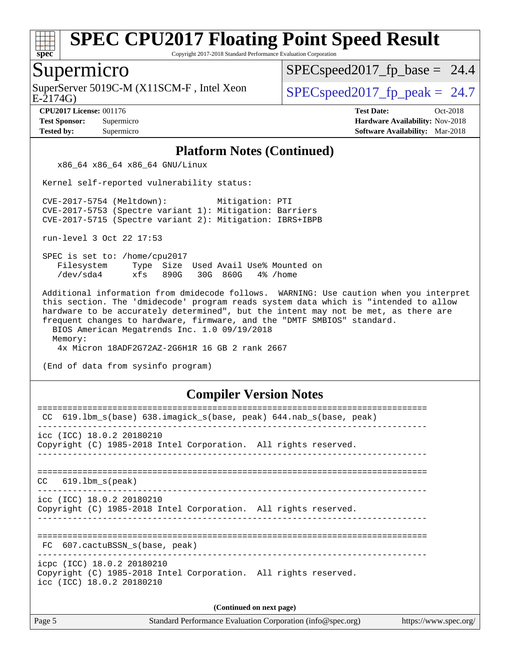

Copyright 2017-2018 Standard Performance Evaluation Corporation

#### Supermicro

SuperServer 5019C-M (X11SCM-F, Intel Xeon  $SPECspeed2017_fp\_peak = 24.7$ 

 $SPECspeed2017<sub>fp</sub> base = 24.4$ 

E-2174G)

**[CPU2017 License:](http://www.spec.org/auto/cpu2017/Docs/result-fields.html#CPU2017License)** 001176 **[Test Date:](http://www.spec.org/auto/cpu2017/Docs/result-fields.html#TestDate)** Oct-2018 **[Test Sponsor:](http://www.spec.org/auto/cpu2017/Docs/result-fields.html#TestSponsor)** Supermicro **[Hardware Availability:](http://www.spec.org/auto/cpu2017/Docs/result-fields.html#HardwareAvailability)** Nov-2018 **[Tested by:](http://www.spec.org/auto/cpu2017/Docs/result-fields.html#Testedby)** Supermicro **[Software Availability:](http://www.spec.org/auto/cpu2017/Docs/result-fields.html#SoftwareAvailability)** Mar-2018

#### **[Platform Notes \(Continued\)](http://www.spec.org/auto/cpu2017/Docs/result-fields.html#PlatformNotes)**

x86\_64 x86\_64 x86\_64 GNU/Linux

Kernel self-reported vulnerability status:

 CVE-2017-5754 (Meltdown): Mitigation: PTI CVE-2017-5753 (Spectre variant 1): Mitigation: Barriers CVE-2017-5715 (Spectre variant 2): Mitigation: IBRS+IBPB

run-level 3 Oct 22 17:53

 SPEC is set to: /home/cpu2017 Filesystem Type Size Used Avail Use% Mounted on /dev/sda4 xfs 890G 30G 860G 4% /home

 Additional information from dmidecode follows. WARNING: Use caution when you interpret this section. The 'dmidecode' program reads system data which is "intended to allow hardware to be accurately determined", but the intent may not be met, as there are frequent changes to hardware, firmware, and the "DMTF SMBIOS" standard. BIOS American Megatrends Inc. 1.0 09/19/2018

Memory:

4x Micron 18ADF2G72AZ-2G6H1R 16 GB 2 rank 2667

(End of data from sysinfo program)

#### **[Compiler Version Notes](http://www.spec.org/auto/cpu2017/Docs/result-fields.html#CompilerVersionNotes)**

| 619.1bm_s(base) 638.imagick_s(base, peak) 644.nab_s(base, peak)<br>CC                                                      |  |  |  |  |  |
|----------------------------------------------------------------------------------------------------------------------------|--|--|--|--|--|
| icc (ICC) 18.0.2 20180210<br>Copyright (C) 1985-2018 Intel Corporation. All rights reserved.                               |  |  |  |  |  |
| $CC$ 619.1bm $s$ (peak)                                                                                                    |  |  |  |  |  |
| icc (ICC) 18.0.2 20180210<br>Copyright (C) 1985-2018 Intel Corporation. All rights reserved.                               |  |  |  |  |  |
| FC 607.cactuBSSN s(base, peak)                                                                                             |  |  |  |  |  |
| icpc (ICC) 18.0.2 20180210<br>Copyright (C) 1985-2018 Intel Corporation. All rights reserved.<br>icc (ICC) 18.0.2 20180210 |  |  |  |  |  |
| (Continued on next page)                                                                                                   |  |  |  |  |  |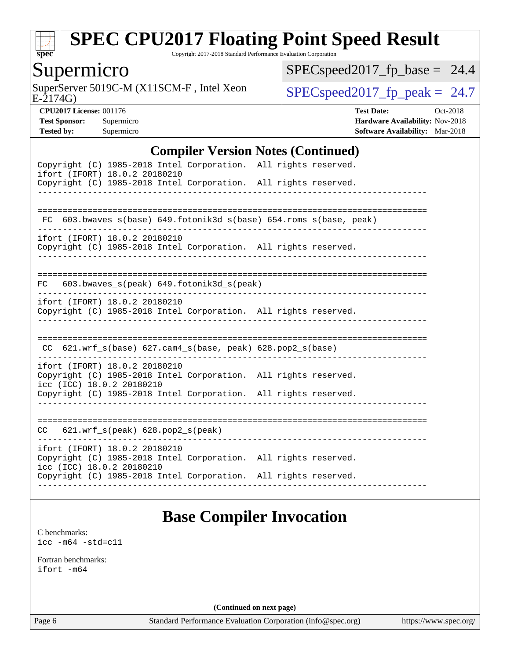

Copyright 2017-2018 Standard Performance Evaluation Corporation

### Supermicro

E-2174G) SuperServer 5019C-M (X11SCM-F, Intel Xeon  $SPEC speed2017_fp\_peak = 24.7$ 

 $SPEC speed2017_fp\_base = 24.4$ 

**[CPU2017 License:](http://www.spec.org/auto/cpu2017/Docs/result-fields.html#CPU2017License)** 001176 **[Test Date:](http://www.spec.org/auto/cpu2017/Docs/result-fields.html#TestDate)** Oct-2018 **[Test Sponsor:](http://www.spec.org/auto/cpu2017/Docs/result-fields.html#TestSponsor)** Supermicro **[Hardware Availability:](http://www.spec.org/auto/cpu2017/Docs/result-fields.html#HardwareAvailability)** Nov-2018 **[Tested by:](http://www.spec.org/auto/cpu2017/Docs/result-fields.html#Testedby)** Supermicro **[Software Availability:](http://www.spec.org/auto/cpu2017/Docs/result-fields.html#SoftwareAvailability)** Mar-2018

#### **[Compiler Version Notes \(Continued\)](http://www.spec.org/auto/cpu2017/Docs/result-fields.html#CompilerVersionNotes)**

| Copyright (C) 1985-2018 Intel Corporation. All rights reserved.<br>ifort (IFORT) 18.0.2 20180210                              |  |
|-------------------------------------------------------------------------------------------------------------------------------|--|
| Copyright (C) 1985-2018 Intel Corporation. All rights reserved.                                                               |  |
|                                                                                                                               |  |
| FC 603.bwaves_s(base) 649.fotonik3d_s(base) 654.roms_s(base, peak)                                                            |  |
|                                                                                                                               |  |
| ifort (IFORT) 18.0.2 20180210<br>Copyright (C) 1985-2018 Intel Corporation. All rights reserved.                              |  |
|                                                                                                                               |  |
| 603.bwaves_s(peak) 649.fotonik3d_s(peak)<br>FC                                                                                |  |
| ifort (IFORT) 18.0.2 20180210                                                                                                 |  |
| Copyright (C) 1985-2018 Intel Corporation. All rights reserved.<br>------------------------------------                       |  |
|                                                                                                                               |  |
| CC 621.wrf_s(base) 627.cam4_s(base, peak) 628.pop2_s(base)                                                                    |  |
| ifort (IFORT) 18.0.2 20180210                                                                                                 |  |
| Copyright (C) 1985-2018 Intel Corporation. All rights reserved.<br>icc (ICC) 18.0.2 20180210                                  |  |
| Copyright (C) 1985-2018 Intel Corporation. All rights reserved.                                                               |  |
|                                                                                                                               |  |
| $621.wrf_s(peak)$ $628.pop2_s(peak)$<br>CC                                                                                    |  |
|                                                                                                                               |  |
| ifort (IFORT) 18.0.2 20180210<br>Copyright (C) 1985-2018 Intel Corporation. All rights reserved.<br>icc (ICC) 18.0.2 20180210 |  |
| Copyright (C) 1985-2018 Intel Corporation. All rights reserved.                                                               |  |
|                                                                                                                               |  |

## **[Base Compiler Invocation](http://www.spec.org/auto/cpu2017/Docs/result-fields.html#BaseCompilerInvocation)**

[C benchmarks](http://www.spec.org/auto/cpu2017/Docs/result-fields.html#Cbenchmarks): [icc -m64 -std=c11](http://www.spec.org/cpu2017/results/res2018q4/cpu2017-20181112-09594.flags.html#user_CCbase_intel_icc_64bit_c11_33ee0cdaae7deeeab2a9725423ba97205ce30f63b9926c2519791662299b76a0318f32ddfffdc46587804de3178b4f9328c46fa7c2b0cd779d7a61945c91cd35)

[Fortran benchmarks](http://www.spec.org/auto/cpu2017/Docs/result-fields.html#Fortranbenchmarks): [ifort -m64](http://www.spec.org/cpu2017/results/res2018q4/cpu2017-20181112-09594.flags.html#user_FCbase_intel_ifort_64bit_24f2bb282fbaeffd6157abe4f878425411749daecae9a33200eee2bee2fe76f3b89351d69a8130dd5949958ce389cf37ff59a95e7a40d588e8d3a57e0c3fd751)

**(Continued on next page)**

Page 6 Standard Performance Evaluation Corporation [\(info@spec.org\)](mailto:info@spec.org) <https://www.spec.org/>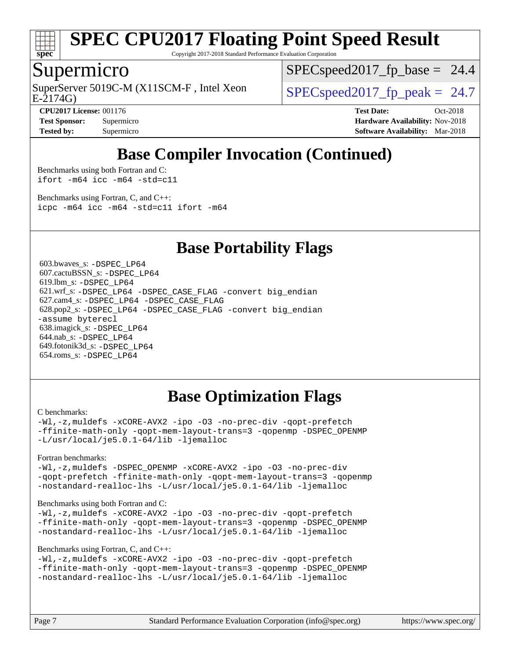

Copyright 2017-2018 Standard Performance Evaluation Corporation

#### Supermicro

E-2174G) SuperServer 5019C-M (X11SCM-F, Intel Xeon  $SPEC speed2017_fp\_peak = 24.7$ 

 $SPECspeed2017<sub>fp</sub> base = 24.4$ 

**[CPU2017 License:](http://www.spec.org/auto/cpu2017/Docs/result-fields.html#CPU2017License)** 001176 **[Test Date:](http://www.spec.org/auto/cpu2017/Docs/result-fields.html#TestDate)** Oct-2018 **[Test Sponsor:](http://www.spec.org/auto/cpu2017/Docs/result-fields.html#TestSponsor)** Supermicro **[Hardware Availability:](http://www.spec.org/auto/cpu2017/Docs/result-fields.html#HardwareAvailability)** Nov-2018 **[Tested by:](http://www.spec.org/auto/cpu2017/Docs/result-fields.html#Testedby)** Supermicro **[Software Availability:](http://www.spec.org/auto/cpu2017/Docs/result-fields.html#SoftwareAvailability)** Mar-2018

## **[Base Compiler Invocation \(Continued\)](http://www.spec.org/auto/cpu2017/Docs/result-fields.html#BaseCompilerInvocation)**

[Benchmarks using both Fortran and C](http://www.spec.org/auto/cpu2017/Docs/result-fields.html#BenchmarksusingbothFortranandC): [ifort -m64](http://www.spec.org/cpu2017/results/res2018q4/cpu2017-20181112-09594.flags.html#user_CC_FCbase_intel_ifort_64bit_24f2bb282fbaeffd6157abe4f878425411749daecae9a33200eee2bee2fe76f3b89351d69a8130dd5949958ce389cf37ff59a95e7a40d588e8d3a57e0c3fd751) [icc -m64 -std=c11](http://www.spec.org/cpu2017/results/res2018q4/cpu2017-20181112-09594.flags.html#user_CC_FCbase_intel_icc_64bit_c11_33ee0cdaae7deeeab2a9725423ba97205ce30f63b9926c2519791662299b76a0318f32ddfffdc46587804de3178b4f9328c46fa7c2b0cd779d7a61945c91cd35)

[Benchmarks using Fortran, C, and C++:](http://www.spec.org/auto/cpu2017/Docs/result-fields.html#BenchmarksusingFortranCandCXX) [icpc -m64](http://www.spec.org/cpu2017/results/res2018q4/cpu2017-20181112-09594.flags.html#user_CC_CXX_FCbase_intel_icpc_64bit_4ecb2543ae3f1412ef961e0650ca070fec7b7afdcd6ed48761b84423119d1bf6bdf5cad15b44d48e7256388bc77273b966e5eb805aefd121eb22e9299b2ec9d9) [icc -m64 -std=c11](http://www.spec.org/cpu2017/results/res2018q4/cpu2017-20181112-09594.flags.html#user_CC_CXX_FCbase_intel_icc_64bit_c11_33ee0cdaae7deeeab2a9725423ba97205ce30f63b9926c2519791662299b76a0318f32ddfffdc46587804de3178b4f9328c46fa7c2b0cd779d7a61945c91cd35) [ifort -m64](http://www.spec.org/cpu2017/results/res2018q4/cpu2017-20181112-09594.flags.html#user_CC_CXX_FCbase_intel_ifort_64bit_24f2bb282fbaeffd6157abe4f878425411749daecae9a33200eee2bee2fe76f3b89351d69a8130dd5949958ce389cf37ff59a95e7a40d588e8d3a57e0c3fd751)

#### **[Base Portability Flags](http://www.spec.org/auto/cpu2017/Docs/result-fields.html#BasePortabilityFlags)**

 603.bwaves\_s: [-DSPEC\\_LP64](http://www.spec.org/cpu2017/results/res2018q4/cpu2017-20181112-09594.flags.html#suite_basePORTABILITY603_bwaves_s_DSPEC_LP64) 607.cactuBSSN\_s: [-DSPEC\\_LP64](http://www.spec.org/cpu2017/results/res2018q4/cpu2017-20181112-09594.flags.html#suite_basePORTABILITY607_cactuBSSN_s_DSPEC_LP64) 619.lbm\_s: [-DSPEC\\_LP64](http://www.spec.org/cpu2017/results/res2018q4/cpu2017-20181112-09594.flags.html#suite_basePORTABILITY619_lbm_s_DSPEC_LP64) 621.wrf\_s: [-DSPEC\\_LP64](http://www.spec.org/cpu2017/results/res2018q4/cpu2017-20181112-09594.flags.html#suite_basePORTABILITY621_wrf_s_DSPEC_LP64) [-DSPEC\\_CASE\\_FLAG](http://www.spec.org/cpu2017/results/res2018q4/cpu2017-20181112-09594.flags.html#b621.wrf_s_baseCPORTABILITY_DSPEC_CASE_FLAG) [-convert big\\_endian](http://www.spec.org/cpu2017/results/res2018q4/cpu2017-20181112-09594.flags.html#user_baseFPORTABILITY621_wrf_s_convert_big_endian_c3194028bc08c63ac5d04de18c48ce6d347e4e562e8892b8bdbdc0214820426deb8554edfa529a3fb25a586e65a3d812c835984020483e7e73212c4d31a38223) 627.cam4\_s: [-DSPEC\\_LP64](http://www.spec.org/cpu2017/results/res2018q4/cpu2017-20181112-09594.flags.html#suite_basePORTABILITY627_cam4_s_DSPEC_LP64) [-DSPEC\\_CASE\\_FLAG](http://www.spec.org/cpu2017/results/res2018q4/cpu2017-20181112-09594.flags.html#b627.cam4_s_baseCPORTABILITY_DSPEC_CASE_FLAG) 628.pop2\_s: [-DSPEC\\_LP64](http://www.spec.org/cpu2017/results/res2018q4/cpu2017-20181112-09594.flags.html#suite_basePORTABILITY628_pop2_s_DSPEC_LP64) [-DSPEC\\_CASE\\_FLAG](http://www.spec.org/cpu2017/results/res2018q4/cpu2017-20181112-09594.flags.html#b628.pop2_s_baseCPORTABILITY_DSPEC_CASE_FLAG) [-convert big\\_endian](http://www.spec.org/cpu2017/results/res2018q4/cpu2017-20181112-09594.flags.html#user_baseFPORTABILITY628_pop2_s_convert_big_endian_c3194028bc08c63ac5d04de18c48ce6d347e4e562e8892b8bdbdc0214820426deb8554edfa529a3fb25a586e65a3d812c835984020483e7e73212c4d31a38223) [-assume byterecl](http://www.spec.org/cpu2017/results/res2018q4/cpu2017-20181112-09594.flags.html#user_baseFPORTABILITY628_pop2_s_assume_byterecl_7e47d18b9513cf18525430bbf0f2177aa9bf368bc7a059c09b2c06a34b53bd3447c950d3f8d6c70e3faf3a05c8557d66a5798b567902e8849adc142926523472) 638.imagick\_s: [-DSPEC\\_LP64](http://www.spec.org/cpu2017/results/res2018q4/cpu2017-20181112-09594.flags.html#suite_basePORTABILITY638_imagick_s_DSPEC_LP64) 644.nab\_s: [-DSPEC\\_LP64](http://www.spec.org/cpu2017/results/res2018q4/cpu2017-20181112-09594.flags.html#suite_basePORTABILITY644_nab_s_DSPEC_LP64) 649.fotonik3d\_s: [-DSPEC\\_LP64](http://www.spec.org/cpu2017/results/res2018q4/cpu2017-20181112-09594.flags.html#suite_basePORTABILITY649_fotonik3d_s_DSPEC_LP64) 654.roms\_s: [-DSPEC\\_LP64](http://www.spec.org/cpu2017/results/res2018q4/cpu2017-20181112-09594.flags.html#suite_basePORTABILITY654_roms_s_DSPEC_LP64)

## **[Base Optimization Flags](http://www.spec.org/auto/cpu2017/Docs/result-fields.html#BaseOptimizationFlags)**

#### [C benchmarks](http://www.spec.org/auto/cpu2017/Docs/result-fields.html#Cbenchmarks):

[-Wl,-z,muldefs](http://www.spec.org/cpu2017/results/res2018q4/cpu2017-20181112-09594.flags.html#user_CCbase_link_force_multiple1_b4cbdb97b34bdee9ceefcfe54f4c8ea74255f0b02a4b23e853cdb0e18eb4525ac79b5a88067c842dd0ee6996c24547a27a4b99331201badda8798ef8a743f577) [-xCORE-AVX2](http://www.spec.org/cpu2017/results/res2018q4/cpu2017-20181112-09594.flags.html#user_CCbase_f-xCORE-AVX2) [-ipo](http://www.spec.org/cpu2017/results/res2018q4/cpu2017-20181112-09594.flags.html#user_CCbase_f-ipo) [-O3](http://www.spec.org/cpu2017/results/res2018q4/cpu2017-20181112-09594.flags.html#user_CCbase_f-O3) [-no-prec-div](http://www.spec.org/cpu2017/results/res2018q4/cpu2017-20181112-09594.flags.html#user_CCbase_f-no-prec-div) [-qopt-prefetch](http://www.spec.org/cpu2017/results/res2018q4/cpu2017-20181112-09594.flags.html#user_CCbase_f-qopt-prefetch) [-ffinite-math-only](http://www.spec.org/cpu2017/results/res2018q4/cpu2017-20181112-09594.flags.html#user_CCbase_f_finite_math_only_cb91587bd2077682c4b38af759c288ed7c732db004271a9512da14a4f8007909a5f1427ecbf1a0fb78ff2a814402c6114ac565ca162485bbcae155b5e4258871) [-qopt-mem-layout-trans=3](http://www.spec.org/cpu2017/results/res2018q4/cpu2017-20181112-09594.flags.html#user_CCbase_f-qopt-mem-layout-trans_de80db37974c74b1f0e20d883f0b675c88c3b01e9d123adea9b28688d64333345fb62bc4a798493513fdb68f60282f9a726aa07f478b2f7113531aecce732043) [-qopenmp](http://www.spec.org/cpu2017/results/res2018q4/cpu2017-20181112-09594.flags.html#user_CCbase_qopenmp_16be0c44f24f464004c6784a7acb94aca937f053568ce72f94b139a11c7c168634a55f6653758ddd83bcf7b8463e8028bb0b48b77bcddc6b78d5d95bb1df2967) [-DSPEC\\_OPENMP](http://www.spec.org/cpu2017/results/res2018q4/cpu2017-20181112-09594.flags.html#suite_CCbase_DSPEC_OPENMP) [-L/usr/local/je5.0.1-64/lib](http://www.spec.org/cpu2017/results/res2018q4/cpu2017-20181112-09594.flags.html#user_CCbase_jemalloc_link_path64_4b10a636b7bce113509b17f3bd0d6226c5fb2346b9178c2d0232c14f04ab830f976640479e5c33dc2bcbbdad86ecfb6634cbbd4418746f06f368b512fced5394) [-ljemalloc](http://www.spec.org/cpu2017/results/res2018q4/cpu2017-20181112-09594.flags.html#user_CCbase_jemalloc_link_lib_d1249b907c500fa1c0672f44f562e3d0f79738ae9e3c4a9c376d49f265a04b9c99b167ecedbf6711b3085be911c67ff61f150a17b3472be731631ba4d0471706)

[Fortran benchmarks](http://www.spec.org/auto/cpu2017/Docs/result-fields.html#Fortranbenchmarks):

[-Wl,-z,muldefs](http://www.spec.org/cpu2017/results/res2018q4/cpu2017-20181112-09594.flags.html#user_FCbase_link_force_multiple1_b4cbdb97b34bdee9ceefcfe54f4c8ea74255f0b02a4b23e853cdb0e18eb4525ac79b5a88067c842dd0ee6996c24547a27a4b99331201badda8798ef8a743f577) [-DSPEC\\_OPENMP](http://www.spec.org/cpu2017/results/res2018q4/cpu2017-20181112-09594.flags.html#suite_FCbase_DSPEC_OPENMP) [-xCORE-AVX2](http://www.spec.org/cpu2017/results/res2018q4/cpu2017-20181112-09594.flags.html#user_FCbase_f-xCORE-AVX2) [-ipo](http://www.spec.org/cpu2017/results/res2018q4/cpu2017-20181112-09594.flags.html#user_FCbase_f-ipo) [-O3](http://www.spec.org/cpu2017/results/res2018q4/cpu2017-20181112-09594.flags.html#user_FCbase_f-O3) [-no-prec-div](http://www.spec.org/cpu2017/results/res2018q4/cpu2017-20181112-09594.flags.html#user_FCbase_f-no-prec-div) [-qopt-prefetch](http://www.spec.org/cpu2017/results/res2018q4/cpu2017-20181112-09594.flags.html#user_FCbase_f-qopt-prefetch) [-ffinite-math-only](http://www.spec.org/cpu2017/results/res2018q4/cpu2017-20181112-09594.flags.html#user_FCbase_f_finite_math_only_cb91587bd2077682c4b38af759c288ed7c732db004271a9512da14a4f8007909a5f1427ecbf1a0fb78ff2a814402c6114ac565ca162485bbcae155b5e4258871) [-qopt-mem-layout-trans=3](http://www.spec.org/cpu2017/results/res2018q4/cpu2017-20181112-09594.flags.html#user_FCbase_f-qopt-mem-layout-trans_de80db37974c74b1f0e20d883f0b675c88c3b01e9d123adea9b28688d64333345fb62bc4a798493513fdb68f60282f9a726aa07f478b2f7113531aecce732043) [-qopenmp](http://www.spec.org/cpu2017/results/res2018q4/cpu2017-20181112-09594.flags.html#user_FCbase_qopenmp_16be0c44f24f464004c6784a7acb94aca937f053568ce72f94b139a11c7c168634a55f6653758ddd83bcf7b8463e8028bb0b48b77bcddc6b78d5d95bb1df2967) [-nostandard-realloc-lhs](http://www.spec.org/cpu2017/results/res2018q4/cpu2017-20181112-09594.flags.html#user_FCbase_f_2003_std_realloc_82b4557e90729c0f113870c07e44d33d6f5a304b4f63d4c15d2d0f1fab99f5daaed73bdb9275d9ae411527f28b936061aa8b9c8f2d63842963b95c9dd6426b8a) [-L/usr/local/je5.0.1-64/lib](http://www.spec.org/cpu2017/results/res2018q4/cpu2017-20181112-09594.flags.html#user_FCbase_jemalloc_link_path64_4b10a636b7bce113509b17f3bd0d6226c5fb2346b9178c2d0232c14f04ab830f976640479e5c33dc2bcbbdad86ecfb6634cbbd4418746f06f368b512fced5394) [-ljemalloc](http://www.spec.org/cpu2017/results/res2018q4/cpu2017-20181112-09594.flags.html#user_FCbase_jemalloc_link_lib_d1249b907c500fa1c0672f44f562e3d0f79738ae9e3c4a9c376d49f265a04b9c99b167ecedbf6711b3085be911c67ff61f150a17b3472be731631ba4d0471706)

#### [Benchmarks using both Fortran and C](http://www.spec.org/auto/cpu2017/Docs/result-fields.html#BenchmarksusingbothFortranandC):

[-Wl,-z,muldefs](http://www.spec.org/cpu2017/results/res2018q4/cpu2017-20181112-09594.flags.html#user_CC_FCbase_link_force_multiple1_b4cbdb97b34bdee9ceefcfe54f4c8ea74255f0b02a4b23e853cdb0e18eb4525ac79b5a88067c842dd0ee6996c24547a27a4b99331201badda8798ef8a743f577) [-xCORE-AVX2](http://www.spec.org/cpu2017/results/res2018q4/cpu2017-20181112-09594.flags.html#user_CC_FCbase_f-xCORE-AVX2) [-ipo](http://www.spec.org/cpu2017/results/res2018q4/cpu2017-20181112-09594.flags.html#user_CC_FCbase_f-ipo) [-O3](http://www.spec.org/cpu2017/results/res2018q4/cpu2017-20181112-09594.flags.html#user_CC_FCbase_f-O3) [-no-prec-div](http://www.spec.org/cpu2017/results/res2018q4/cpu2017-20181112-09594.flags.html#user_CC_FCbase_f-no-prec-div) [-qopt-prefetch](http://www.spec.org/cpu2017/results/res2018q4/cpu2017-20181112-09594.flags.html#user_CC_FCbase_f-qopt-prefetch) [-ffinite-math-only](http://www.spec.org/cpu2017/results/res2018q4/cpu2017-20181112-09594.flags.html#user_CC_FCbase_f_finite_math_only_cb91587bd2077682c4b38af759c288ed7c732db004271a9512da14a4f8007909a5f1427ecbf1a0fb78ff2a814402c6114ac565ca162485bbcae155b5e4258871) [-qopt-mem-layout-trans=3](http://www.spec.org/cpu2017/results/res2018q4/cpu2017-20181112-09594.flags.html#user_CC_FCbase_f-qopt-mem-layout-trans_de80db37974c74b1f0e20d883f0b675c88c3b01e9d123adea9b28688d64333345fb62bc4a798493513fdb68f60282f9a726aa07f478b2f7113531aecce732043) [-qopenmp](http://www.spec.org/cpu2017/results/res2018q4/cpu2017-20181112-09594.flags.html#user_CC_FCbase_qopenmp_16be0c44f24f464004c6784a7acb94aca937f053568ce72f94b139a11c7c168634a55f6653758ddd83bcf7b8463e8028bb0b48b77bcddc6b78d5d95bb1df2967) [-DSPEC\\_OPENMP](http://www.spec.org/cpu2017/results/res2018q4/cpu2017-20181112-09594.flags.html#suite_CC_FCbase_DSPEC_OPENMP) [-nostandard-realloc-lhs](http://www.spec.org/cpu2017/results/res2018q4/cpu2017-20181112-09594.flags.html#user_CC_FCbase_f_2003_std_realloc_82b4557e90729c0f113870c07e44d33d6f5a304b4f63d4c15d2d0f1fab99f5daaed73bdb9275d9ae411527f28b936061aa8b9c8f2d63842963b95c9dd6426b8a) [-L/usr/local/je5.0.1-64/lib](http://www.spec.org/cpu2017/results/res2018q4/cpu2017-20181112-09594.flags.html#user_CC_FCbase_jemalloc_link_path64_4b10a636b7bce113509b17f3bd0d6226c5fb2346b9178c2d0232c14f04ab830f976640479e5c33dc2bcbbdad86ecfb6634cbbd4418746f06f368b512fced5394) [-ljemalloc](http://www.spec.org/cpu2017/results/res2018q4/cpu2017-20181112-09594.flags.html#user_CC_FCbase_jemalloc_link_lib_d1249b907c500fa1c0672f44f562e3d0f79738ae9e3c4a9c376d49f265a04b9c99b167ecedbf6711b3085be911c67ff61f150a17b3472be731631ba4d0471706)

#### [Benchmarks using Fortran, C, and C++:](http://www.spec.org/auto/cpu2017/Docs/result-fields.html#BenchmarksusingFortranCandCXX)

```
-Wl,-z,muldefs -xCORE-AVX2 -ipo -O3 -no-prec-div -qopt-prefetch
-ffinite-math-only -qopt-mem-layout-trans=3 -qopenmp -DSPEC_OPENMP
-nostandard-realloc-lhs -L/usr/local/je5.0.1-64/lib -ljemalloc
```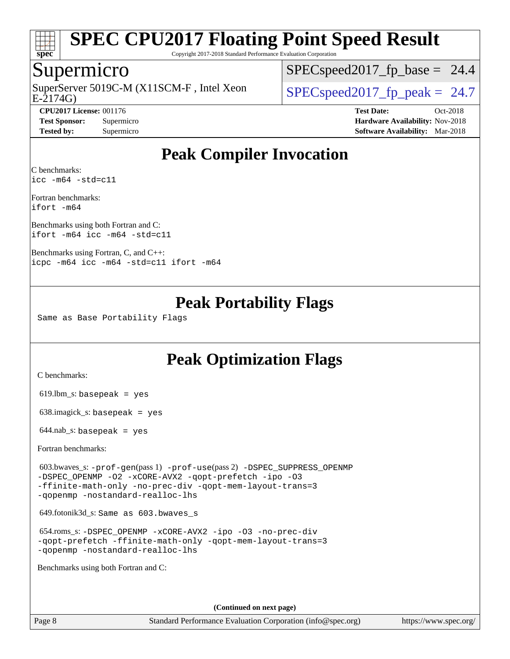

Copyright 2017-2018 Standard Performance Evaluation Corporation

#### Supermicro

E-2174G) SuperServer 5019C-M (X11SCM-F, Intel Xeon  $SPECspeed2017_fp\_peak = 24.7$ 

 $SPECspeed2017<sub>fp</sub> base = 24.4$ 

**[CPU2017 License:](http://www.spec.org/auto/cpu2017/Docs/result-fields.html#CPU2017License)** 001176 **[Test Date:](http://www.spec.org/auto/cpu2017/Docs/result-fields.html#TestDate)** Oct-2018 **[Test Sponsor:](http://www.spec.org/auto/cpu2017/Docs/result-fields.html#TestSponsor)** Supermicro **[Hardware Availability:](http://www.spec.org/auto/cpu2017/Docs/result-fields.html#HardwareAvailability)** Nov-2018 **[Tested by:](http://www.spec.org/auto/cpu2017/Docs/result-fields.html#Testedby)** Supermicro **[Software Availability:](http://www.spec.org/auto/cpu2017/Docs/result-fields.html#SoftwareAvailability)** Mar-2018

## **[Peak Compiler Invocation](http://www.spec.org/auto/cpu2017/Docs/result-fields.html#PeakCompilerInvocation)**

[C benchmarks](http://www.spec.org/auto/cpu2017/Docs/result-fields.html#Cbenchmarks): [icc -m64 -std=c11](http://www.spec.org/cpu2017/results/res2018q4/cpu2017-20181112-09594.flags.html#user_CCpeak_intel_icc_64bit_c11_33ee0cdaae7deeeab2a9725423ba97205ce30f63b9926c2519791662299b76a0318f32ddfffdc46587804de3178b4f9328c46fa7c2b0cd779d7a61945c91cd35)

[Fortran benchmarks:](http://www.spec.org/auto/cpu2017/Docs/result-fields.html#Fortranbenchmarks) [ifort -m64](http://www.spec.org/cpu2017/results/res2018q4/cpu2017-20181112-09594.flags.html#user_FCpeak_intel_ifort_64bit_24f2bb282fbaeffd6157abe4f878425411749daecae9a33200eee2bee2fe76f3b89351d69a8130dd5949958ce389cf37ff59a95e7a40d588e8d3a57e0c3fd751)

[Benchmarks using both Fortran and C](http://www.spec.org/auto/cpu2017/Docs/result-fields.html#BenchmarksusingbothFortranandC): [ifort -m64](http://www.spec.org/cpu2017/results/res2018q4/cpu2017-20181112-09594.flags.html#user_CC_FCpeak_intel_ifort_64bit_24f2bb282fbaeffd6157abe4f878425411749daecae9a33200eee2bee2fe76f3b89351d69a8130dd5949958ce389cf37ff59a95e7a40d588e8d3a57e0c3fd751) [icc -m64 -std=c11](http://www.spec.org/cpu2017/results/res2018q4/cpu2017-20181112-09594.flags.html#user_CC_FCpeak_intel_icc_64bit_c11_33ee0cdaae7deeeab2a9725423ba97205ce30f63b9926c2519791662299b76a0318f32ddfffdc46587804de3178b4f9328c46fa7c2b0cd779d7a61945c91cd35)

[Benchmarks using Fortran, C, and C++](http://www.spec.org/auto/cpu2017/Docs/result-fields.html#BenchmarksusingFortranCandCXX): [icpc -m64](http://www.spec.org/cpu2017/results/res2018q4/cpu2017-20181112-09594.flags.html#user_CC_CXX_FCpeak_intel_icpc_64bit_4ecb2543ae3f1412ef961e0650ca070fec7b7afdcd6ed48761b84423119d1bf6bdf5cad15b44d48e7256388bc77273b966e5eb805aefd121eb22e9299b2ec9d9) [icc -m64 -std=c11](http://www.spec.org/cpu2017/results/res2018q4/cpu2017-20181112-09594.flags.html#user_CC_CXX_FCpeak_intel_icc_64bit_c11_33ee0cdaae7deeeab2a9725423ba97205ce30f63b9926c2519791662299b76a0318f32ddfffdc46587804de3178b4f9328c46fa7c2b0cd779d7a61945c91cd35) [ifort -m64](http://www.spec.org/cpu2017/results/res2018q4/cpu2017-20181112-09594.flags.html#user_CC_CXX_FCpeak_intel_ifort_64bit_24f2bb282fbaeffd6157abe4f878425411749daecae9a33200eee2bee2fe76f3b89351d69a8130dd5949958ce389cf37ff59a95e7a40d588e8d3a57e0c3fd751)

### **[Peak Portability Flags](http://www.spec.org/auto/cpu2017/Docs/result-fields.html#PeakPortabilityFlags)**

Same as Base Portability Flags

### **[Peak Optimization Flags](http://www.spec.org/auto/cpu2017/Docs/result-fields.html#PeakOptimizationFlags)**

[C benchmarks](http://www.spec.org/auto/cpu2017/Docs/result-fields.html#Cbenchmarks):

619.lbm\_s: basepeak = yes

638.imagick\_s: basepeak = yes

 $644$ .nab\_s: basepeak = yes

[Fortran benchmarks](http://www.spec.org/auto/cpu2017/Docs/result-fields.html#Fortranbenchmarks):

 603.bwaves\_s: [-prof-gen](http://www.spec.org/cpu2017/results/res2018q4/cpu2017-20181112-09594.flags.html#user_peakPASS1_FFLAGSPASS1_LDFLAGS603_bwaves_s_prof_gen_5aa4926d6013ddb2a31985c654b3eb18169fc0c6952a63635c234f711e6e63dd76e94ad52365559451ec499a2cdb89e4dc58ba4c67ef54ca681ffbe1461d6b36)(pass 1) [-prof-use](http://www.spec.org/cpu2017/results/res2018q4/cpu2017-20181112-09594.flags.html#user_peakPASS2_FFLAGSPASS2_LDFLAGS603_bwaves_s_prof_use_1a21ceae95f36a2b53c25747139a6c16ca95bd9def2a207b4f0849963b97e94f5260e30a0c64f4bb623698870e679ca08317ef8150905d41bd88c6f78df73f19)(pass 2) [-DSPEC\\_SUPPRESS\\_OPENMP](http://www.spec.org/cpu2017/results/res2018q4/cpu2017-20181112-09594.flags.html#suite_peakPASS1_FOPTIMIZE603_bwaves_s_DSPEC_SUPPRESS_OPENMP) [-DSPEC\\_OPENMP](http://www.spec.org/cpu2017/results/res2018q4/cpu2017-20181112-09594.flags.html#suite_peakPASS2_FOPTIMIZE603_bwaves_s_DSPEC_OPENMP) [-O2](http://www.spec.org/cpu2017/results/res2018q4/cpu2017-20181112-09594.flags.html#user_peakPASS1_FOPTIMIZE603_bwaves_s_f-O2) [-xCORE-AVX2](http://www.spec.org/cpu2017/results/res2018q4/cpu2017-20181112-09594.flags.html#user_peakPASS2_FOPTIMIZE603_bwaves_s_f-xCORE-AVX2) [-qopt-prefetch](http://www.spec.org/cpu2017/results/res2018q4/cpu2017-20181112-09594.flags.html#user_peakPASS1_FOPTIMIZEPASS2_FOPTIMIZE603_bwaves_s_f-qopt-prefetch) [-ipo](http://www.spec.org/cpu2017/results/res2018q4/cpu2017-20181112-09594.flags.html#user_peakPASS2_FOPTIMIZE603_bwaves_s_f-ipo) [-O3](http://www.spec.org/cpu2017/results/res2018q4/cpu2017-20181112-09594.flags.html#user_peakPASS2_FOPTIMIZE603_bwaves_s_f-O3) [-ffinite-math-only](http://www.spec.org/cpu2017/results/res2018q4/cpu2017-20181112-09594.flags.html#user_peakPASS1_FOPTIMIZEPASS2_FOPTIMIZE603_bwaves_s_f_finite_math_only_cb91587bd2077682c4b38af759c288ed7c732db004271a9512da14a4f8007909a5f1427ecbf1a0fb78ff2a814402c6114ac565ca162485bbcae155b5e4258871) [-no-prec-div](http://www.spec.org/cpu2017/results/res2018q4/cpu2017-20181112-09594.flags.html#user_peakPASS2_FOPTIMIZE603_bwaves_s_f-no-prec-div) [-qopt-mem-layout-trans=3](http://www.spec.org/cpu2017/results/res2018q4/cpu2017-20181112-09594.flags.html#user_peakPASS1_FOPTIMIZEPASS2_FOPTIMIZE603_bwaves_s_f-qopt-mem-layout-trans_de80db37974c74b1f0e20d883f0b675c88c3b01e9d123adea9b28688d64333345fb62bc4a798493513fdb68f60282f9a726aa07f478b2f7113531aecce732043) [-qopenmp](http://www.spec.org/cpu2017/results/res2018q4/cpu2017-20181112-09594.flags.html#user_peakPASS2_FOPTIMIZE603_bwaves_s_qopenmp_16be0c44f24f464004c6784a7acb94aca937f053568ce72f94b139a11c7c168634a55f6653758ddd83bcf7b8463e8028bb0b48b77bcddc6b78d5d95bb1df2967) [-nostandard-realloc-lhs](http://www.spec.org/cpu2017/results/res2018q4/cpu2017-20181112-09594.flags.html#user_peakEXTRA_FOPTIMIZE603_bwaves_s_f_2003_std_realloc_82b4557e90729c0f113870c07e44d33d6f5a304b4f63d4c15d2d0f1fab99f5daaed73bdb9275d9ae411527f28b936061aa8b9c8f2d63842963b95c9dd6426b8a)

649.fotonik3d\_s: Same as 603.bwaves\_s

 654.roms\_s: [-DSPEC\\_OPENMP](http://www.spec.org/cpu2017/results/res2018q4/cpu2017-20181112-09594.flags.html#suite_peakFOPTIMIZE654_roms_s_DSPEC_OPENMP) [-xCORE-AVX2](http://www.spec.org/cpu2017/results/res2018q4/cpu2017-20181112-09594.flags.html#user_peakFOPTIMIZE654_roms_s_f-xCORE-AVX2) [-ipo](http://www.spec.org/cpu2017/results/res2018q4/cpu2017-20181112-09594.flags.html#user_peakFOPTIMIZE654_roms_s_f-ipo) [-O3](http://www.spec.org/cpu2017/results/res2018q4/cpu2017-20181112-09594.flags.html#user_peakFOPTIMIZE654_roms_s_f-O3) [-no-prec-div](http://www.spec.org/cpu2017/results/res2018q4/cpu2017-20181112-09594.flags.html#user_peakFOPTIMIZE654_roms_s_f-no-prec-div) [-qopt-prefetch](http://www.spec.org/cpu2017/results/res2018q4/cpu2017-20181112-09594.flags.html#user_peakFOPTIMIZE654_roms_s_f-qopt-prefetch) [-ffinite-math-only](http://www.spec.org/cpu2017/results/res2018q4/cpu2017-20181112-09594.flags.html#user_peakFOPTIMIZE654_roms_s_f_finite_math_only_cb91587bd2077682c4b38af759c288ed7c732db004271a9512da14a4f8007909a5f1427ecbf1a0fb78ff2a814402c6114ac565ca162485bbcae155b5e4258871) [-qopt-mem-layout-trans=3](http://www.spec.org/cpu2017/results/res2018q4/cpu2017-20181112-09594.flags.html#user_peakFOPTIMIZE654_roms_s_f-qopt-mem-layout-trans_de80db37974c74b1f0e20d883f0b675c88c3b01e9d123adea9b28688d64333345fb62bc4a798493513fdb68f60282f9a726aa07f478b2f7113531aecce732043) [-qopenmp](http://www.spec.org/cpu2017/results/res2018q4/cpu2017-20181112-09594.flags.html#user_peakFOPTIMIZE654_roms_s_qopenmp_16be0c44f24f464004c6784a7acb94aca937f053568ce72f94b139a11c7c168634a55f6653758ddd83bcf7b8463e8028bb0b48b77bcddc6b78d5d95bb1df2967) [-nostandard-realloc-lhs](http://www.spec.org/cpu2017/results/res2018q4/cpu2017-20181112-09594.flags.html#user_peakEXTRA_FOPTIMIZE654_roms_s_f_2003_std_realloc_82b4557e90729c0f113870c07e44d33d6f5a304b4f63d4c15d2d0f1fab99f5daaed73bdb9275d9ae411527f28b936061aa8b9c8f2d63842963b95c9dd6426b8a)

[Benchmarks using both Fortran and C](http://www.spec.org/auto/cpu2017/Docs/result-fields.html#BenchmarksusingbothFortranandC):

**(Continued on next page)**